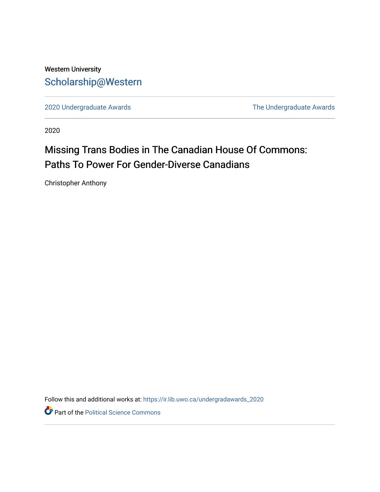# Western University [Scholarship@Western](https://ir.lib.uwo.ca/)

[2020 Undergraduate Awards](https://ir.lib.uwo.ca/undergradawards_2020) [The Undergraduate Awards](https://ir.lib.uwo.ca/ungradawards) 

2020

# Missing Trans Bodies in The Canadian House Of Commons: Paths To Power For Gender-Diverse Canadians

Christopher Anthony

Follow this and additional works at: [https://ir.lib.uwo.ca/undergradawards\\_2020](https://ir.lib.uwo.ca/undergradawards_2020?utm_source=ir.lib.uwo.ca%2Fundergradawards_2020%2F2&utm_medium=PDF&utm_campaign=PDFCoverPages) 

Part of the [Political Science Commons](http://network.bepress.com/hgg/discipline/386?utm_source=ir.lib.uwo.ca%2Fundergradawards_2020%2F2&utm_medium=PDF&utm_campaign=PDFCoverPages)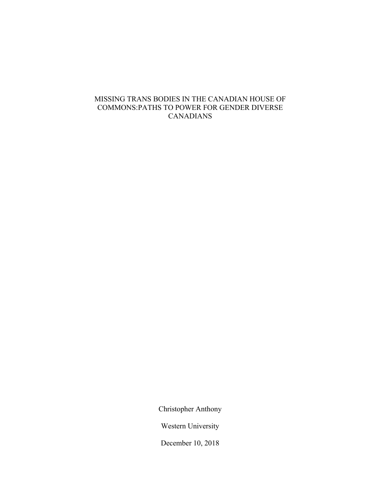# MISSING TRANS BODIES IN THE CANADIAN HOUSE OF COMMONS:PATHS TO POWER FOR GENDER DIVERSE CANADIANS

Christopher Anthony

Western University

December 10, 2018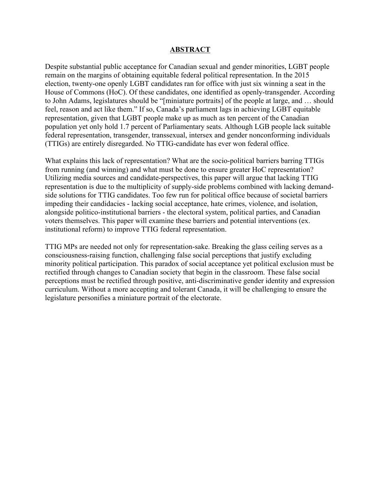#### **ABSTRACT**

Despite substantial public acceptance for Canadian sexual and gender minorities, LGBT people remain on the margins of obtaining equitable federal political representation. In the 2015 election, twenty-one openly LGBT candidates ran for office with just six winning a seat in the House of Commons (HoC). Of these candidates, one identified as openly-transgender. According to John Adams, legislatures should be "[miniature portraits] of the people at large, and … should feel, reason and act like them." If so, Canada's parliament lags in achieving LGBT equitable representation, given that LGBT people make up as much as ten percent of the Canadian population yet only hold 1.7 percent of Parliamentary seats. Although LGB people lack suitable federal representation, transgender, transsexual, intersex and gender nonconforming individuals (TTIGs) are entirely disregarded. No TTIG-candidate has ever won federal office.

What explains this lack of representation? What are the socio-political barriers barring TTIGs from running (and winning) and what must be done to ensure greater HoC representation? Utilizing media sources and candidate-perspectives, this paper will argue that lacking TTIG representation is due to the multiplicity of supply-side problems combined with lacking demandside solutions for TTIG candidates. Too few run for political office because of societal barriers impeding their candidacies - lacking social acceptance, hate crimes, violence, and isolation, alongside politico-institutional barriers - the electoral system, political parties, and Canadian voters themselves. This paper will examine these barriers and potential interventions (ex. institutional reform) to improve TTIG federal representation.

TTIG MPs are needed not only for representation-sake. Breaking the glass ceiling serves as a consciousness-raising function, challenging false social perceptions that justify excluding minority political participation. This paradox of social acceptance yet political exclusion must be rectified through changes to Canadian society that begin in the classroom. These false social perceptions must be rectified through positive, anti-discriminative gender identity and expression curriculum. Without a more accepting and tolerant Canada, it will be challenging to ensure the legislature personifies a miniature portrait of the electorate.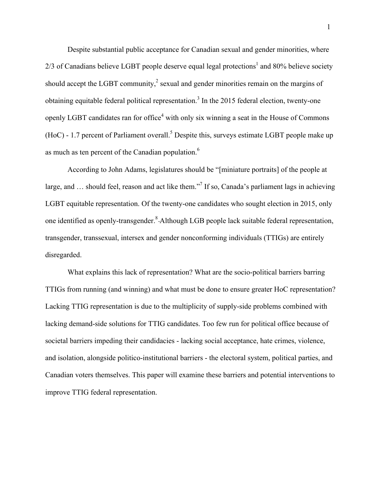Despite substantial public acceptance for Canadian sexual and gender minorities, where  $2/3$  of Canadians believe LGBT people deserve equal legal protections<sup>1</sup> and 80% believe society should accept the LGBT community,<sup>2</sup> sexual and gender minorities remain on the margins of obtaining equitable federal political representation.<sup>3</sup> In the 2015 federal election, twenty-one openly LGBT candidates ran for office<sup>4</sup> with only six winning a seat in the House of Commons  $(HoC)$  - 1.7 percent of Parliament overall.<sup>5</sup> Despite this, surveys estimate LGBT people make up as much as ten percent of the Canadian population.<sup>6</sup>

According to John Adams, legislatures should be "[miniature portraits] of the people at large, and ... should feel, reason and act like them."<sup>7</sup> If so, Canada's parliament lags in achieving LGBT equitable representation. Of the twenty-one candidates who sought election in 2015, only one identified as openly-transgender.<sup>8</sup>-Although LGB people lack suitable federal representation, transgender, transsexual, intersex and gender nonconforming individuals (TTIGs) are entirely disregarded.

What explains this lack of representation? What are the socio-political barriers barring TTIGs from running (and winning) and what must be done to ensure greater HoC representation? Lacking TTIG representation is due to the multiplicity of supply-side problems combined with lacking demand-side solutions for TTIG candidates. Too few run for political office because of societal barriers impeding their candidacies - lacking social acceptance, hate crimes, violence, and isolation, alongside politico-institutional barriers - the electoral system, political parties, and Canadian voters themselves. This paper will examine these barriers and potential interventions to improve TTIG federal representation.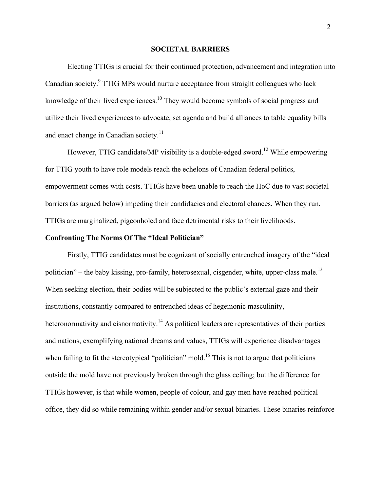#### **SOCIETAL BARRIERS**

Electing TTIGs is crucial for their continued protection, advancement and integration into Canadian society.<sup>9</sup> TTIG MPs would nurture acceptance from straight colleagues who lack knowledge of their lived experiences.<sup>10</sup> They would become symbols of social progress and utilize their lived experiences to advocate, set agenda and build alliances to table equality bills and enact change in Canadian society.<sup>11</sup>

However, TTIG candidate/MP visibility is a double-edged sword.<sup>12</sup> While empowering for TTIG youth to have role models reach the echelons of Canadian federal politics, empowerment comes with costs. TTIGs have been unable to reach the HoC due to vast societal barriers (as argued below) impeding their candidacies and electoral chances. When they run, TTIGs are marginalized, pigeonholed and face detrimental risks to their livelihoods.

#### **Confronting The Norms Of The "Ideal Politician"**

Firstly, TTIG candidates must be cognizant of socially entrenched imagery of the "ideal politician" – the baby kissing, pro-family, heterosexual, cisgender, white, upper-class male.<sup>13</sup> When seeking election, their bodies will be subjected to the public's external gaze and their institutions, constantly compared to entrenched ideas of hegemonic masculinity, heteronormativity and cisnormativity.<sup>14</sup> As political leaders are representatives of their parties and nations, exemplifying national dreams and values, TTIGs will experience disadvantages when failing to fit the stereotypical "politician" mold.<sup>15</sup> This is not to argue that politicians outside the mold have not previously broken through the glass ceiling; but the difference for TTIGs however, is that while women, people of colour, and gay men have reached political office, they did so while remaining within gender and/or sexual binaries. These binaries reinforce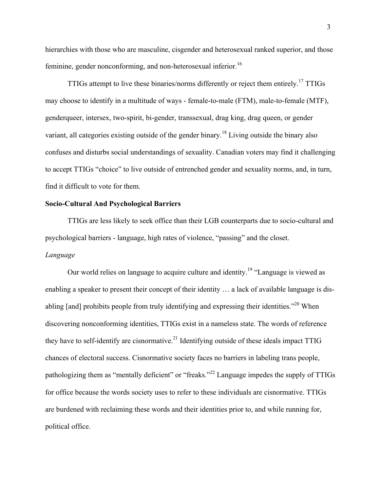hierarchies with those who are masculine, cisgender and heterosexual ranked superior, and those feminine, gender nonconforming, and non-heterosexual inferior.<sup>16</sup>

TTIGs attempt to live these binaries/norms differently or reject them entirely.<sup>17</sup> TTIGs may choose to identify in a multitude of ways - female-to-male (FTM), male-to-female (MTF), genderqueer, intersex, two-spirit, bi-gender, transsexual, drag king, drag queen, or gender variant, all categories existing outside of the gender binary.<sup>18</sup> Living outside the binary also confuses and disturbs social understandings of sexuality. Canadian voters may find it challenging to accept TTIGs "choice" to live outside of entrenched gender and sexuality norms, and, in turn, find it difficult to vote for them.

#### **Socio-Cultural And Psychological Barriers**

TTIGs are less likely to seek office than their LGB counterparts due to socio-cultural and psychological barriers - language, high rates of violence, "passing" and the closet. *Language*

Our world relies on language to acquire culture and identity.<sup>19</sup> "Language is viewed as enabling a speaker to present their concept of their identity … a lack of available language is disabling [and] prohibits people from truly identifying and expressing their identities.<sup>220</sup> When discovering nonconforming identities, TTIGs exist in a nameless state. The words of reference they have to self-identify are cisnormative.<sup>21</sup> Identifying outside of these ideals impact TTIG chances of electoral success. Cisnormative society faces no barriers in labeling trans people, pathologizing them as "mentally deficient" or "freaks."<sup>22</sup> Language impedes the supply of TTIGs for office because the words society uses to refer to these individuals are cisnormative. TTIGs are burdened with reclaiming these words and their identities prior to, and while running for, political office.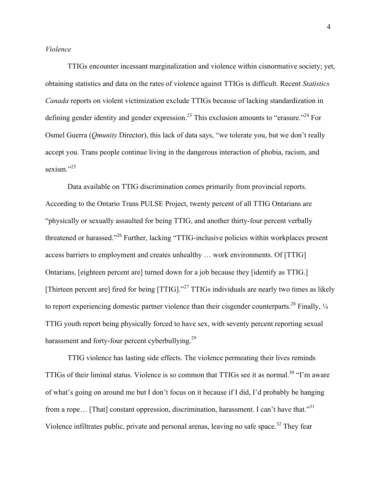#### *Violence*

TTIGs encounter incessant marginalization and violence within cisnormative society; yet, obtaining statistics and data on the rates of violence against TTIGs is difficult. Recent *Statistics Canada* reports on violent victimization exclude TTIGs because of lacking standardization in defining gender identity and gender expression.<sup>23</sup> This exclusion amounts to "erasure."<sup>24</sup> For Osmel Guerra (*Qmunity* Director), this lack of data says, "we tolerate you, but we don't really accept you. Trans people continue living in the dangerous interaction of phobia, racism, and sexism."<sup>25</sup>

Data available on TTIG discrimination comes primarily from provincial reports. According to the Ontario Trans PULSE Project, twenty percent of all TTIG Ontarians are "physically or sexually assaulted for being TTIG, and another thirty-four percent verbally threatened or harassed."<sup>26</sup> Further, lacking "TTIG-inclusive policies within workplaces present access barriers to employment and creates unhealthy … work environments. Of [TTIG] Ontarians, [eighteen percent are] turned down for a job because they [identify as TTIG.] [Thirteen percent are] fired for being [TTIG]."<sup>27</sup> TTIGs individuals are nearly two times as likely to report experiencing domestic partner violence than their cisgender counterparts.<sup>28</sup> Finally,  $\frac{1}{4}$ TTIG youth report being physically forced to have sex, with seventy percent reporting sexual harassment and forty-four percent cyberbullying.<sup>29</sup>

TTIG violence has lasting side effects. The violence permeating their lives reminds TTIGs of their liminal status. Violence is so common that TTIGs see it as normal.<sup>30</sup> "I'm aware of what's going on around me but I don't focus on it because if I did, I'd probably be hanging from a rope... [That] constant oppression, discrimination, harassment. I can't have that."<sup>31</sup> Violence infiltrates public, private and personal arenas, leaving no safe space.<sup>32</sup> They fear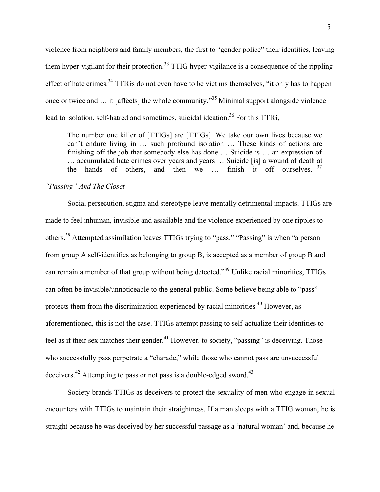violence from neighbors and family members, the first to "gender police" their identities, leaving them hyper-vigilant for their protection.<sup>33</sup> TTIG hyper-vigilance is a consequence of the rippling effect of hate crimes.<sup>34</sup> TTIGs do not even have to be victims themselves, "it only has to happen once or twice and … it [affects] the whole community."<sup>35</sup> Minimal support alongside violence lead to isolation, self-hatred and sometimes, suicidal ideation.<sup>36</sup> For this TTIG,

The number one killer of [TTIGs] are [TTIGs]. We take our own lives because we can't endure living in … such profound isolation … These kinds of actions are finishing off the job that somebody else has done … Suicide is … an expression of … accumulated hate crimes over years and years … Suicide [is] a wound of death at the hands of others, and then we ... finish it off ourselves. <sup>37</sup>

# *"Passing" And The Closet*

Social persecution, stigma and stereotype leave mentally detrimental impacts. TTIGs are made to feel inhuman, invisible and assailable and the violence experienced by one ripples to others.<sup>38</sup> Attempted assimilation leaves TTIGs trying to "pass." "Passing" is when "a person from group A self-identifies as belonging to group B, is accepted as a member of group B and can remain a member of that group without being detected."<sup>39</sup> Unlike racial minorities, TTIGs can often be invisible/unnoticeable to the general public. Some believe being able to "pass" protects them from the discrimination experienced by racial minorities.<sup>40</sup> However, as aforementioned, this is not the case. TTIGs attempt passing to self-actualize their identities to feel as if their sex matches their gender.<sup>41</sup> However, to society, "passing" is deceiving. Those who successfully pass perpetrate a "charade," while those who cannot pass are unsuccessful deceivers.<sup>42</sup> Attempting to pass or not pass is a double-edged sword.<sup>43</sup>

Society brands TTIGs as deceivers to protect the sexuality of men who engage in sexual encounters with TTIGs to maintain their straightness. If a man sleeps with a TTIG woman, he is straight because he was deceived by her successful passage as a 'natural woman' and, because he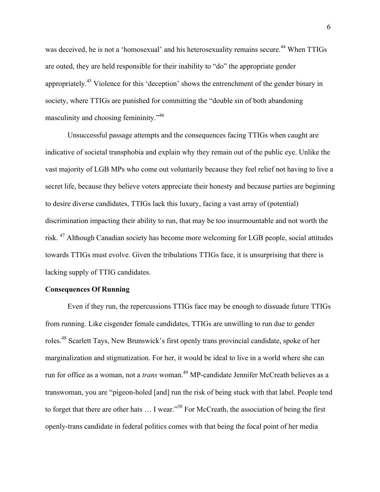was deceived, he is not a 'homosexual' and his heterosexuality remains secure.<sup>44</sup> When TTIGs are outed, they are held responsible for their inability to "do" the appropriate gender appropriately.<sup>45</sup> Violence for this 'deception' shows the entrenchment of the gender binary in society, where TTIGs are punished for committing the "double sin of both abandoning masculinity and choosing femininity."<sup>46</sup>

Unsuccessful passage attempts and the consequences facing TTIGs when caught are indicative of societal transphobia and explain why they remain out of the public eye. Unlike the vast majority of LGB MPs who come out voluntarily because they feel relief not having to live a secret life, because they believe voters appreciate their honesty and because parties are beginning to desire diverse candidates, TTIGs lack this luxury, facing a vast array of (potential) discrimination impacting their ability to run, that may be too insurmountable and not worth the risk. 47 Although Canadian society has become more welcoming for LGB people, social attitudes towards TTIGs must evolve. Given the tribulations TTIGs face, it is unsurprising that there is lacking supply of TTIG candidates.

#### **Consequences Of Running**

Even if they run, the repercussions TTIGs face may be enough to dissuade future TTIGs from running. Like cisgender female candidates, TTIGs are unwilling to run due to gender roles.<sup>48</sup> Scarlett Tays, New Brunswick's first openly trans provincial candidate, spoke of her marginalization and stigmatization. For her, it would be ideal to live in a world where she can run for office as a woman, not a *trans* woman.<sup>49</sup> MP-candidate Jennifer McCreath believes as a transwoman, you are "pigeon-holed [and] run the risk of being stuck with that label. People tend to forget that there are other hats ... I wear."<sup>50</sup> For McCreath, the association of being the first openly-trans candidate in federal politics comes with that being the focal point of her media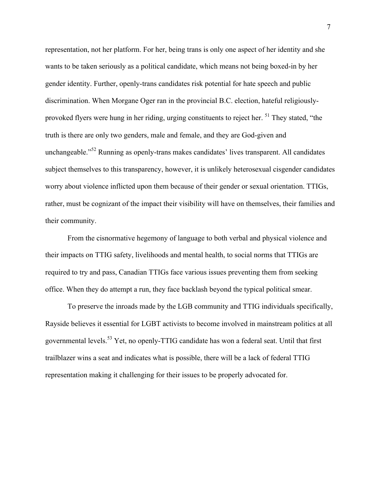representation, not her platform. For her, being trans is only one aspect of her identity and she wants to be taken seriously as a political candidate, which means not being boxed-in by her gender identity. Further, openly-trans candidates risk potential for hate speech and public discrimination. When Morgane Oger ran in the provincial B.C. election, hateful religiouslyprovoked flyers were hung in her riding, urging constituents to reject her. <sup>51</sup> They stated, "the truth is there are only two genders, male and female, and they are God-given and unchangeable."<sup>52</sup> Running as openly-trans makes candidates' lives transparent. All candidates subject themselves to this transparency, however, it is unlikely heterosexual cisgender candidates worry about violence inflicted upon them because of their gender or sexual orientation. TTIGs, rather, must be cognizant of the impact their visibility will have on themselves, their families and their community.

From the cisnormative hegemony of language to both verbal and physical violence and their impacts on TTIG safety, livelihoods and mental health, to social norms that TTIGs are required to try and pass, Canadian TTIGs face various issues preventing them from seeking office. When they do attempt a run, they face backlash beyond the typical political smear.

To preserve the inroads made by the LGB community and TTIG individuals specifically, Rayside believes it essential for LGBT activists to become involved in mainstream politics at all governmental levels.<sup>53</sup> Yet, no openly-TTIG candidate has won a federal seat. Until that first trailblazer wins a seat and indicates what is possible, there will be a lack of federal TTIG representation making it challenging for their issues to be properly advocated for.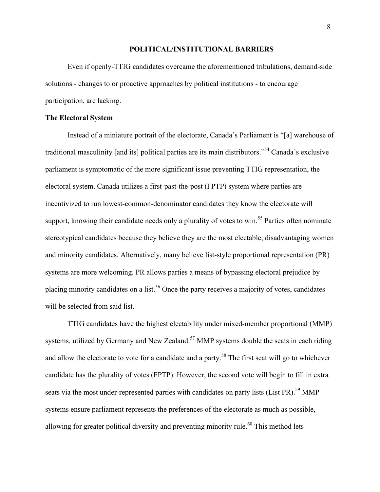#### **POLITICAL/INSTITUTIONAL BARRIERS**

Even if openly-TTIG candidates overcame the aforementioned tribulations, demand-side solutions - changes to or proactive approaches by political institutions - to encourage participation, are lacking.

#### **The Electoral System**

Instead of a miniature portrait of the electorate, Canada's Parliament is "[a] warehouse of traditional masculinity [and its] political parties are its main distributors."<sup>54</sup> Canada's exclusive parliament is symptomatic of the more significant issue preventing TTIG representation, the electoral system. Canada utilizes a first-past-the-post (FPTP) system where parties are incentivized to run lowest-common-denominator candidates they know the electorate will support, knowing their candidate needs only a plurality of votes to win.<sup>55</sup> Parties often nominate stereotypical candidates because they believe they are the most electable, disadvantaging women and minority candidates. Alternatively, many believe list-style proportional representation (PR) systems are more welcoming. PR allows parties a means of bypassing electoral prejudice by placing minority candidates on a list.<sup>56</sup> Once the party receives a majority of votes, candidates will be selected from said list.

TTIG candidates have the highest electability under mixed-member proportional (MMP) systems, utilized by Germany and New Zealand.<sup>57</sup> MMP systems double the seats in each riding and allow the electorate to vote for a candidate and a party.<sup>58</sup> The first seat will go to whichever candidate has the plurality of votes (FPTP). However, the second vote will begin to fill in extra seats via the most under-represented parties with candidates on party lists (List PR).<sup>59</sup> MMP systems ensure parliament represents the preferences of the electorate as much as possible, allowing for greater political diversity and preventing minority rule.<sup>60</sup> This method lets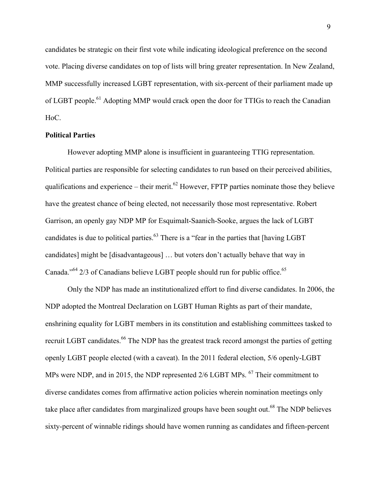candidates be strategic on their first vote while indicating ideological preference on the second vote. Placing diverse candidates on top of lists will bring greater representation. In New Zealand, MMP successfully increased LGBT representation, with six-percent of their parliament made up of LGBT people.<sup>61</sup> Adopting MMP would crack open the door for TTIGs to reach the Canadian HoC.

#### **Political Parties**

However adopting MMP alone is insufficient in guaranteeing TTIG representation. Political parties are responsible for selecting candidates to run based on their perceived abilities, qualifications and experience – their merit.<sup>62</sup> However, FPTP parties nominate those they believe have the greatest chance of being elected, not necessarily those most representative. Robert Garrison, an openly gay NDP MP for Esquimalt-Saanich-Sooke, argues the lack of LGBT candidates is due to political parties.<sup>63</sup> There is a "fear in the parties that [having LGBT] candidates] might be [disadvantageous] … but voters don't actually behave that way in Canada."<sup>64</sup> 2/3 of Canadians believe LGBT people should run for public office.<sup>65</sup>

Only the NDP has made an institutionalized effort to find diverse candidates. In 2006, the NDP adopted the Montreal Declaration on LGBT Human Rights as part of their mandate, enshrining equality for LGBT members in its constitution and establishing committees tasked to recruit LGBT candidates.<sup>66</sup> The NDP has the greatest track record amongst the parties of getting openly LGBT people elected (with a caveat). In the 2011 federal election, 5/6 openly-LGBT MPs were NDP, and in 2015, the NDP represented 2/6 LGBT MPs. <sup>67</sup> Their commitment to diverse candidates comes from affirmative action policies wherein nomination meetings only take place after candidates from marginalized groups have been sought out.<sup>68</sup> The NDP believes sixty-percent of winnable ridings should have women running as candidates and fifteen-percent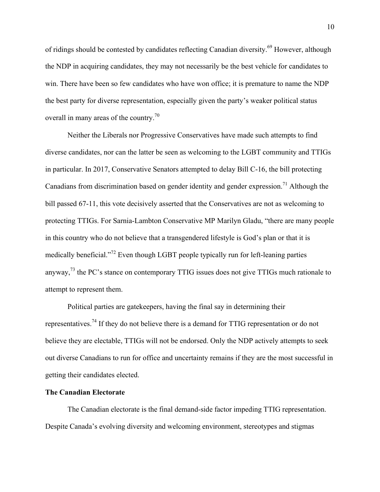of ridings should be contested by candidates reflecting Canadian diversity.<sup>69</sup> However, although the NDP in acquiring candidates, they may not necessarily be the best vehicle for candidates to win. There have been so few candidates who have won office; it is premature to name the NDP the best party for diverse representation, especially given the party's weaker political status overall in many areas of the country.<sup>70</sup>

Neither the Liberals nor Progressive Conservatives have made such attempts to find diverse candidates, nor can the latter be seen as welcoming to the LGBT community and TTIGs in particular. In 2017, Conservative Senators attempted to delay Bill C-16, the bill protecting Canadians from discrimination based on gender identity and gender expression.<sup>71</sup> Although the bill passed 67-11, this vote decisively asserted that the Conservatives are not as welcoming to protecting TTIGs. For Sarnia-Lambton Conservative MP Marilyn Gladu, "there are many people in this country who do not believe that a transgendered lifestyle is God's plan or that it is medically beneficial."<sup>72</sup> Even though LGBT people typically run for left-leaning parties anyway,<sup>73</sup> the PC's stance on contemporary TTIG issues does not give TTIGs much rationale to attempt to represent them.

Political parties are gatekeepers, having the final say in determining their representatives.<sup>74</sup> If they do not believe there is a demand for TTIG representation or do not believe they are electable, TTIGs will not be endorsed. Only the NDP actively attempts to seek out diverse Canadians to run for office and uncertainty remains if they are the most successful in getting their candidates elected.

#### **The Canadian Electorate**

The Canadian electorate is the final demand-side factor impeding TTIG representation. Despite Canada's evolving diversity and welcoming environment, stereotypes and stigmas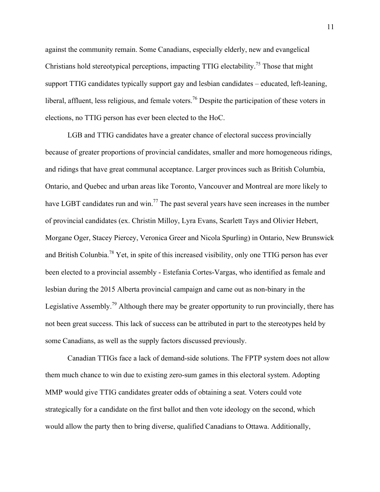against the community remain. Some Canadians, especially elderly, new and evangelical Christians hold stereotypical perceptions, impacting TTIG electability.<sup>75</sup> Those that might support TTIG candidates typically support gay and lesbian candidates – educated, left-leaning, liberal, affluent, less religious, and female voters.<sup>76</sup> Despite the participation of these voters in elections, no TTIG person has ever been elected to the HoC.

LGB and TTIG candidates have a greater chance of electoral success provincially because of greater proportions of provincial candidates, smaller and more homogeneous ridings, and ridings that have great communal acceptance. Larger provinces such as British Columbia, Ontario, and Quebec and urban areas like Toronto, Vancouver and Montreal are more likely to have LGBT candidates run and win.<sup>77</sup> The past several years have seen increases in the number of provincial candidates (ex. Christin Milloy, Lyra Evans, Scarlett Tays and Olivier Hebert, Morgane Oger, Stacey Piercey, Veronica Greer and Nicola Spurling) in Ontario, New Brunswick and British Colunbia.<sup>78</sup> Yet, in spite of this increased visibility, only one TTIG person has ever been elected to a provincial assembly - Estefania Cortes-Vargas, who identified as female and lesbian during the 2015 Alberta provincial campaign and came out as non-binary in the Legislative Assembly.<sup>79</sup> Although there may be greater opportunity to run provincially, there has not been great success. This lack of success can be attributed in part to the stereotypes held by some Canadians, as well as the supply factors discussed previously.

Canadian TTIGs face a lack of demand-side solutions. The FPTP system does not allow them much chance to win due to existing zero-sum games in this electoral system. Adopting MMP would give TTIG candidates greater odds of obtaining a seat. Voters could vote strategically for a candidate on the first ballot and then vote ideology on the second, which would allow the party then to bring diverse, qualified Canadians to Ottawa. Additionally,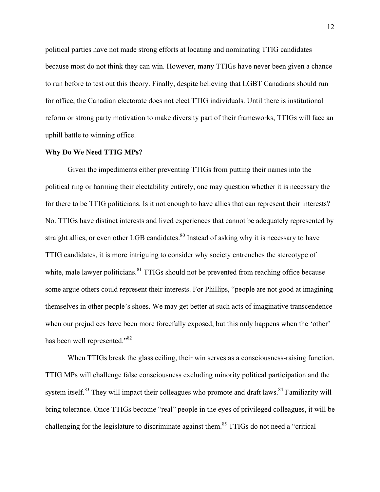political parties have not made strong efforts at locating and nominating TTIG candidates because most do not think they can win. However, many TTIGs have never been given a chance to run before to test out this theory. Finally, despite believing that LGBT Canadians should run for office, the Canadian electorate does not elect TTIG individuals. Until there is institutional reform or strong party motivation to make diversity part of their frameworks, TTIGs will face an uphill battle to winning office.

#### **Why Do We Need TTIG MPs?**

Given the impediments either preventing TTIGs from putting their names into the political ring or harming their electability entirely, one may question whether it is necessary the for there to be TTIG politicians. Is it not enough to have allies that can represent their interests? No. TTIGs have distinct interests and lived experiences that cannot be adequately represented by straight allies, or even other LGB candidates.<sup>80</sup> Instead of asking why it is necessary to have TTIG candidates, it is more intriguing to consider why society entrenches the stereotype of white, male lawyer politicians.<sup>81</sup> TTIGs should not be prevented from reaching office because some argue others could represent their interests. For Phillips, "people are not good at imagining themselves in other people's shoes. We may get better at such acts of imaginative transcendence when our prejudices have been more forcefully exposed, but this only happens when the 'other' has been well represented."<sup>82</sup>

When TTIGs break the glass ceiling, their win serves as a consciousness-raising function. TTIG MPs will challenge false consciousness excluding minority political participation and the system itself.<sup>83</sup> They will impact their colleagues who promote and draft laws.<sup>84</sup> Familiarity will bring tolerance. Once TTIGs become "real" people in the eyes of privileged colleagues, it will be challenging for the legislature to discriminate against them.<sup>85</sup> TTIGs do not need a "critical"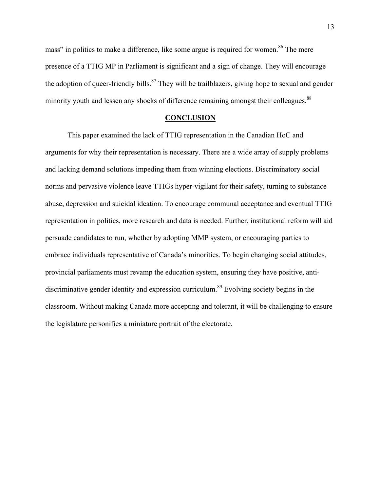mass" in politics to make a difference, like some argue is required for women.<sup>86</sup> The mere presence of a TTIG MP in Parliament is significant and a sign of change. They will encourage the adoption of queer-friendly bills.<sup>87</sup> They will be trailblazers, giving hope to sexual and gender minority youth and lessen any shocks of difference remaining amongst their colleagues.<sup>88</sup>

#### **CONCLUSION**

This paper examined the lack of TTIG representation in the Canadian HoC and arguments for why their representation is necessary. There are a wide array of supply problems and lacking demand solutions impeding them from winning elections. Discriminatory social norms and pervasive violence leave TTIGs hyper-vigilant for their safety, turning to substance abuse, depression and suicidal ideation. To encourage communal acceptance and eventual TTIG representation in politics, more research and data is needed. Further, institutional reform will aid persuade candidates to run, whether by adopting MMP system, or encouraging parties to embrace individuals representative of Canada's minorities. To begin changing social attitudes, provincial parliaments must revamp the education system, ensuring they have positive, antidiscriminative gender identity and expression curriculum.<sup>89</sup> Evolving society begins in the classroom. Without making Canada more accepting and tolerant, it will be challenging to ensure the legislature personifies a miniature portrait of the electorate.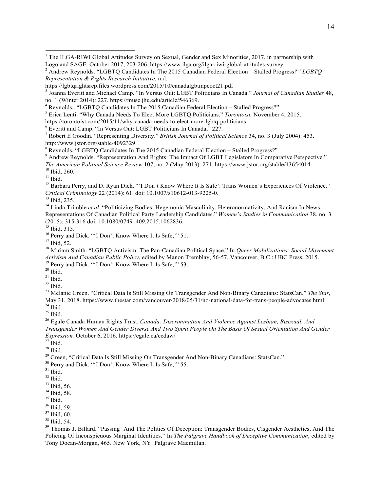<sup>5</sup> Erica Lenti. "Why Canada Needs To Elect More LGBTQ Politicians." *Torontoist*, November 4, 2015.<br>https://torontoist.com/2015/11/why-canada-needs-to-elect-more-lgbtq-politicians

 $6$  Everitt and Camp. "In Versus Out: LGBT Politicians In Canada," 227.

<sup>8</sup> Reynolds, "LGBTQ Candidates In The 2015 Canadian Federal Election – Stalled Progress?"<br><sup>9</sup> Andrew Reynolds. "Representation And Rights: The Impact Of LGBT Legislators In Comparative Perspective."

*The American Political Science Review* 107, no. 2 (May 2013): 271. https://www.jstor.org/stable/43654014.<br><sup>10</sup> Ibid, 260.<br><sup>11</sup> Ibid.<br><sup>12</sup> Barbara Perry, and D. Ryan Dick. "'I Don't Know Where It Is Safe': Trans Women's E

<sup>13</sup> Ibid, 235. <sup>27</sup> (2015): <sup>14</sup> Linda Trimble *et al.* "Politicizing Bodies: Hegemonic Masculinity, Heteronormativity, And Racism In News Representations Of Canadian Political Party Leadership Candidates." *Women's Studies in Communication* 38, no. 3

<sup>15</sup> Ibid, 315.<br><sup>16</sup> Perry and Dick. "'I Don't Know Where It Is Safe,'" 51.<br><sup>17</sup> Ibid. 52.

<sup>18</sup> Miriam Smith. "LGBTO Activism: The Pan-Canadian Political Space." In *Queer Mobilizations: Social Movement Activism And Canadian Public Policy*, edited by Manon Tremblay, 56-57. Vancouver, B.C.: UBC Press, 2015.<br><sup>19</sup> Perry and Dick, "'I Don't Know Where It Is Safe," 53.<br><sup>20</sup> Ibid.

<sup>21</sup> Ibid.<br><sup>22</sup> Ibid.<br><sup>23</sup> Melanie Green. "Critical Data Is Still Missing On Transgender And Non-Binary Canadians: StatsCan." *The Star*, May 31, 2018. https://www.thestar.com/vancouver/2018/05/31/no-national-data-for-trans-people-advocates.html <sup>24</sup> Ibid. 25 Ibid.

<sup>26</sup> Egale Canada Human Rights Trust. *Canada: Discrimination And Violence Against Lesbian, Bisexual, And Transgender Women And Gender Diverse And Two Spirit People On The Basis Of Sexual Orientation And Gender Expression.* October 6, 2016. https://egale.ca/cedaw/

<sup>28</sup> Ibid.<br><sup>29</sup> Green, "Critical Data Is Still Missing On Transgender And Non-Binary Canadians: StatsCan."<br><sup>30</sup> Perry and Dick. "'I Don't Know Where It Is Safe,'" 55.<br><sup>32</sup> Ibid. <sup>32</sup> Ibid.

<sup>36</sup> Ibid, 59.<br><sup>37</sup> Ibid, 60.<br><sup>38</sup> Ibid, 54.<br><sup>39</sup> Thomas J. Billard. "Passing' And The Politics Of Deception: Transgender Bodies, Cisgender Aesthetics, And The Policing Of Inconspicuous Marginal Identities." In *The Palgrave Handbook of Deceptive Communication*, edited by Tony Docan-Morgan, 465. New York, NY: Palgrave Macmillan.

 $1$  The ILGA-RIWI Global Attitudes Survey on Sexual, Gender and Sex Minorities, 2017, in partnership with Logo and SAGE. October 2017, 203-206. https://www.ilga.org/ilga-riwi-global-attitudes-survey <sup>2</sup> Andrew Reynolds. "LGBTQ Candidates In The 2015 Canadian Federal Election – Stalled Progress*?" LGBTQ*

*Representation & Rights Research Initiative*, n.d.

https://lgbtqrightsrep.files.wordpress.com/2015/10/canadalgbtmpcoct21.pdf

<sup>3</sup> Joanna Everitt and Michael Camp. "In Versus Out: LGBT Politicians In Canada." *Journal of Canadian Studies* 48, no. 1 (Winter 2014): 227. https://muse.jhu.edu/article/546369. <sup>4</sup> Reynolds,. "LGBTQ Candidates In The <sup>2015</sup> Canadian Federal Election – Stalled Progress?"

<sup>7</sup> Robert E Goodin. "Representing Diversity." *British Journal of Political Science* 34, no. 3 (July 2004): 453. http://www.jstor.org/stable/4092329.

 $\frac{33}{34}$  Ibid, 56.<br> $\frac{34}{35}$  Ibid, 58.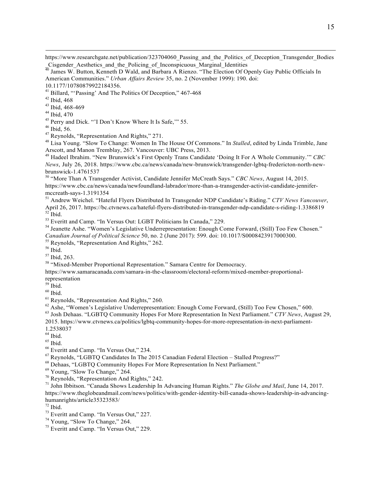https://www.researchgate.net/publication/323704060 Passing and the Politics of Deception Transgender Bodies  $\frac{1}{40}$  James W. Button, Kenneth D Wald, and Barbara A Rienzo. "The Election Of Openly Gay Public Officials In

American Communities." *Urban Affairs Review* 35, no. 2 (November 1999): 190. doi:

10.1177/10780879922184356.

<sup>41</sup> Billard, "'Passing' And The Politics Of Deception,"  $467-468$ <br><sup>42</sup> Ibid,  $468$ 

<sup>43</sup> Ibid, 468-469<br><sup>44</sup> Ibid, 470<br><sup>45</sup> Perry and Dick. "'I Don't Know Where It Is Safe,'" 55.<br><sup>46</sup> Ibid, 56.<br><sup>47</sup> Reynolds, "Representation And Rights," 271.

<sup>48</sup> Lisa Young. "Slow To Change: Women In The House Of Commons." In *Stalled*, edited by Linda Trimble, Jane Arscott, and Manon Tremblay, 267. Vancouver: UBC Press, 2013.

<sup>49</sup> Hadeel Ibrahim. "New Brunswick's First Openly Trans Candidate 'Doing It For A Whole Community.'" *CBC News*, July 26, 2018. https://www.cbc.ca/news/canada/new-brunswick/transgender-lgbtq-fredericton-north-newbrunswick-1.4761537<br><sup>50</sup> "More Than A Transgender Activist, Candidate Jennifer McCreath Says." *CBC News*, August 14, 2015.

https://www.cbc.ca/news/canada/newfoundland-labrador/more-than-a-transgender-activist-candidate-jennifer-

mccreath-says-1.3191354<br><sup>51</sup> Andrew Weichel. "Hateful Flyers Distributed In Transgender NDP Candidate's Riding." *CTV News Vancouver*,<br>April 26, 2017. https://bc.ctvnews.ca/hateful-flyers-distributed-in-transgender-ndp-can  $52$  Ibid.<br>
<sup>53</sup> Everitt and Camp. "In Versus Out: LGBT Politicians In Canada," 229.<br>
<sup>54</sup> Jeanette Ashe. "Women's Legislative Underrepresentation: Enough Come Forward. (Still) Too Few Chosen."

*Canadian Journal of Political Science* 50, no. 2 (June 2017): 599. doi: 10.1017/S0008423917000300.<br><sup>55</sup> Reynolds, "Representation And Rights," 262.<br><sup>56</sup> Ibid. 263.

<sup>58</sup> "Mixed-Member Proportional Representation." Samara Centre for Democracy.

https://www.samaracanada.com/samara-in-the-classroom/electoral-reform/mixed-member-proportional-

representation

 $59$  Ibid.<br> $60$  Ibid.

<sup>61</sup> Reynolds, "Representation And Rights," 260.<br><sup>62</sup> Ashe, "Women's Legislative Underrepresentation: Enough Come Forward, (Still) Too Few Chosen," 600.<br><sup>63</sup> Josh Dehaas. "LGBTO Community Hopes For More Representation In 2015. https://www.ctvnews.ca/politics/lgbtq-community-hopes-for-more-representation-in-next-parliament-

1.2538037<br><sup>64</sup> Ibid.

<sup>65</sup> Ibid.<br>
<sup>66</sup> Everitt and Camp. "In Versus Out," 234.<br>
<sup>67</sup> Reynolds, "LGBTQ Candidates In The 2015 Canadian Federal Election – Stalled Progress?"<br>
<sup>68</sup> Dehaas, "LGBTQ Community Hopes For More Representation In Next Pa https://www.theglobeandmail.com/news/politics/with-gender-identity-bill-canada-shows-leadership-in-advancinghumanrights/article35323583/<br><sup>72</sup> Ibid.

<sup>73</sup> Everitt and Camp. "In Versus Out," 227.<br><sup>74</sup> Young, "Slow To Change," 264.<br><sup>75</sup> Everitt and Camp. "In Versus Out." 229.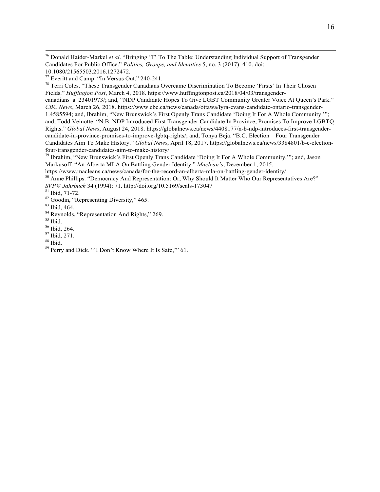<sup>76</sup> Donald Haider-Markel *et al*. "Bringing 'T' To The Table: Understanding Individual Support of Transgender Candidates For Public Office." *Politics, Groups, and Identities* 5, no. 3 (2017): 410. doi: 10.1080/21565503.2016.1272472.<br><sup>77</sup> Everitt and Camp. "In Versus Out," 240-241.

<sup>78</sup> Terri Coles. "These Transgender Canadians Overcame Discrimination To Become 'Firsts' In Their Chosen Fields." *Huffington Post*, March 4, 2018. https://www.huffingtonpost.ca/2018/04/03/transgendercanadians\_a\_23401973/; and, "NDP Candidate Hopes To Give LGBT Community Greater Voice At Queen's Park." *CBC News*, March 26, 2018. https://www.cbc.ca/news/canada/ottawa/lyra-evans-candidate-ontario-transgender-1.4585594; and, Ibrahim, "New Brunswick's First Openly Trans Candidate 'Doing It For A Whole Community.'"; and, Todd Veinotte. "N.B. NDP Introduced First Transgender Candidate In Province, Promises To Improve LGBTQ Rights." *Global News*, August 24, 2018. https://globalnews.ca/news/4408177/n-b-ndp-introduces-first-transgendercandidate-in-province-promises-to-improve-lgbtq-rights/; and, Tonya Beja. "B.C. Election – Four Transgender Candidates Aim To Make History." *Global News*, April 18, 2017. https://globalnews.ca/news/3384801/b-c-electionfour-transgender-candidates-aim-to-make-history/

<sup>79</sup> Ibrahim, "New Brunswick's First Openly Trans Candidate 'Doing It For A Whole Community,'"; and, Jason Markusoff. "An Alberta MLA On Battling Gender Identity." *Maclean's*, December 1, 2015.

https://www.macleans.ca/news/canada/for-the-record-an-alberta-mla-on-battling-gender-identity/

<sup>80</sup> Anne Phillips. "Democracy And Representation: Or, Why Should It Matter Who Our Representatives Are?" *SVPW Jahrbuch* 34 (1994): 71. http://doi.org/10.5169/seals-173047<br><sup>81</sup> Ibid, 71-72.<br><sup>82</sup> Goodin, "Representing Diversity," 465.<br><sup>83</sup> Ibid. 464.

<sup>&</sup>lt;sup>84</sup> Reynolds, "Representation And Rights," 269.<br>
<sup>85</sup> Ibid. 264.<br>
<sup>86</sup> Ibid, 264.<br>
<sup>87</sup> Ibid, 271.<br>
<sup>88</sup> Ibid.

<sup>&</sup>lt;sup>89</sup> Perry and Dick. ""I Don't Know Where It Is Safe," 61.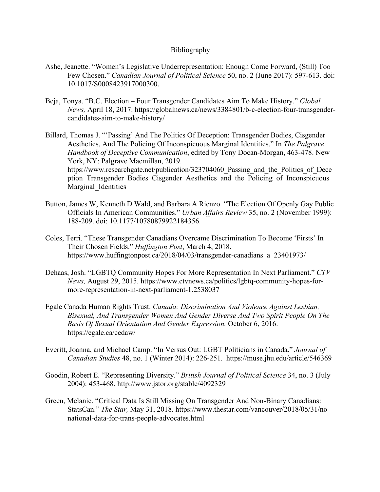### Bibliography

- Ashe, Jeanette. "Women's Legislative Underrepresentation: Enough Come Forward, (Still) Too Few Chosen." *Canadian Journal of Political Science* 50, no. 2 (June 2017): 597-613. doi: 10.1017/S0008423917000300.
- Beja, Tonya. "B.C. Election Four Transgender Candidates Aim To Make History." *Global News,* April 18, 2017. https://globalnews.ca/news/3384801/b-c-election-four-transgendercandidates-aim-to-make-history/
- Billard, Thomas J. "'Passing' And The Politics Of Deception: Transgender Bodies, Cisgender Aesthetics, And The Policing Of Inconspicuous Marginal Identities." In *The Palgrave Handbook of Deceptive Communication*, edited by Tony Docan-Morgan, 463-478. New York, NY: Palgrave Macmillan, 2019. https://www.researchgate.net/publication/323704060 Passing and the Politics of Dece ption Transgender Bodies Cisgender Aesthetics and the Policing of Inconspicuous Marginal Identities
- Button, James W, Kenneth D Wald, and Barbara A Rienzo. "The Election Of Openly Gay Public Officials In American Communities." *Urban Affairs Review* 35, no. 2 (November 1999): 188-209. doi: 10.1177/10780879922184356.
- Coles, Terri. "These Transgender Canadians Overcame Discrimination To Become 'Firsts' In Their Chosen Fields." *Huffington Post*, March 4, 2018. https://www.huffingtonpost.ca/2018/04/03/transgender-canadians\_a\_23401973/
- Dehaas, Josh. "LGBTQ Community Hopes For More Representation In Next Parliament." *CTV News,* August 29, 2015. https://www.ctvnews.ca/politics/lgbtq-community-hopes-formore-representation-in-next-parliament-1.2538037
- Egale Canada Human Rights Trust. *Canada: Discrimination And Violence Against Lesbian, Bisexual, And Transgender Women And Gender Diverse And Two Spirit People On The Basis Of Sexual Orientation And Gender Expression.* October 6, 2016. https://egale.ca/cedaw/
- Everitt, Joanna, and Michael Camp. "In Versus Out: LGBT Politicians in Canada." *Journal of Canadian Studies* 48, no. 1 (Winter 2014): 226-251. https://muse.jhu.edu/article/546369
- Goodin, Robert E. "Representing Diversity." *British Journal of Political Science* 34, no. 3 (July 2004): 453-468. http://www.jstor.org/stable/4092329
- Green, Melanie. "Critical Data Is Still Missing On Transgender And Non-Binary Canadians: StatsCan." *The Star,* May 31, 2018. https://www.thestar.com/vancouver/2018/05/31/nonational-data-for-trans-people-advocates.html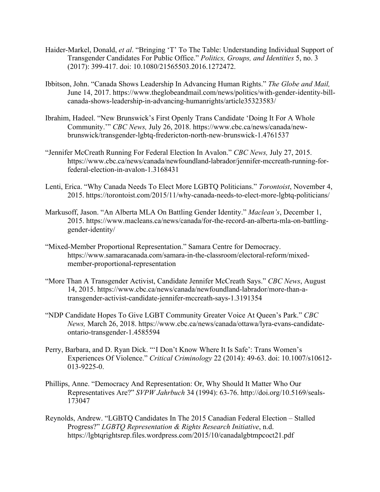- Haider-Markel, Donald, *et al*. "Bringing 'T' To The Table: Understanding Individual Support of Transgender Candidates For Public Office." *Politics, Groups, and Identities* 5, no. 3 (2017): 399-417. doi: 10.1080/21565503.2016.1272472.
- Ibbitson, John. "Canada Shows Leadership In Advancing Human Rights." *The Globe and Mail,* June 14, 2017. https://www.theglobeandmail.com/news/politics/with-gender-identity-billcanada-shows-leadership-in-advancing-humanrights/article35323583/
- Ibrahim, Hadeel. "New Brunswick's First Openly Trans Candidate 'Doing It For A Whole Community.'" *CBC News,* July 26, 2018. https://www.cbc.ca/news/canada/newbrunswick/transgender-lgbtq-fredericton-north-new-brunswick-1.4761537
- "Jennifer McCreath Running For Federal Election In Avalon." *CBC News,* July 27, 2015. https://www.cbc.ca/news/canada/newfoundland-labrador/jennifer-mccreath-running-forfederal-election-in-avalon-1.3168431
- Lenti, Erica. "Why Canada Needs To Elect More LGBTQ Politicians." *Torontoist*, November 4, 2015. https://torontoist.com/2015/11/why-canada-needs-to-elect-more-lgbtq-politicians/
- Markusoff, Jason. "An Alberta MLA On Battling Gender Identity." *Maclean's*, December 1, 2015. https://www.macleans.ca/news/canada/for-the-record-an-alberta-mla-on-battlinggender-identity/
- "Mixed-Member Proportional Representation." Samara Centre for Democracy. https://www.samaracanada.com/samara-in-the-classroom/electoral-reform/mixedmember-proportional-representation
- "More Than A Transgender Activist, Candidate Jennifer McCreath Says." *CBC News*, August 14, 2015. https://www.cbc.ca/news/canada/newfoundland-labrador/more-than-atransgender-activist-candidate-jennifer-mccreath-says-1.3191354
- "NDP Candidate Hopes To Give LGBT Community Greater Voice At Queen's Park." *CBC News,* March 26, 2018. https://www.cbc.ca/news/canada/ottawa/lyra-evans-candidateontario-transgender-1.4585594
- Perry, Barbara, and D. Ryan Dick. "'I Don't Know Where It Is Safe': Trans Women's Experiences Of Violence." *Critical Criminology* 22 (2014): 49-63. doi: 10.1007/s10612- 013-9225-0.
- Phillips, Anne. "Democracy And Representation: Or, Why Should It Matter Who Our Representatives Are?" *SVPW Jahrbuch* 34 (1994): 63-76. http://doi.org/10.5169/seals-173047
- Reynolds, Andrew. "LGBTQ Candidates In The 2015 Canadian Federal Election Stalled Progress?" *LGBTQ Representation & Rights Research Initiative*, n.d. https://lgbtqrightsrep.files.wordpress.com/2015/10/canadalgbtmpcoct21.pdf